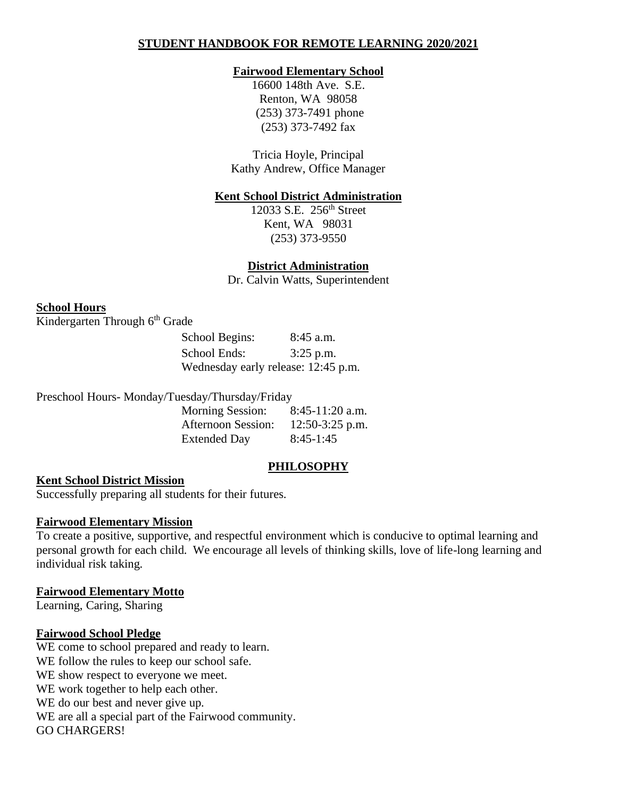### **STUDENT HANDBOOK FOR REMOTE LEARNING 2020/2021**

#### **Fairwood Elementary School**

16600 148th Ave. S.E. Renton, WA 98058 (253) 373-7491 phone (253) 373-7492 fax

Tricia Hoyle, Principal Kathy Andrew, Office Manager

#### **Kent School District Administration**

12033 S.E. 256<sup>th</sup> Street Kent, WA 98031 (253) 373-9550

**District Administration**

Dr. Calvin Watts, Superintendent

#### **School Hours**

Kindergarten Through 6<sup>th</sup> Grade

| School Begins:                      | $8:45$ a.m. |
|-------------------------------------|-------------|
| School Ends:                        | $3:25$ p.m. |
| Wednesday early release: 12:45 p.m. |             |

Preschool Hours- Monday/Tuesday/Thursday/Friday

| <b>Morning Session:</b> | $8:45-11:20$ a.m. |
|-------------------------|-------------------|
| Afternoon Session:      | $12:50-3:25$ p.m. |
| <b>Extended Day</b>     | $8:45-1:45$       |

#### **PHILOSOPHY**

#### **Kent School District Mission**

Successfully preparing all students for their futures.

#### **Fairwood Elementary Mission**

To create a positive, supportive, and respectful environment which is conducive to optimal learning and personal growth for each child. We encourage all levels of thinking skills, love of life-long learning and individual risk taking.

#### **Fairwood Elementary Motto**

Learning, Caring, Sharing

#### **Fairwood School Pledge**

WE come to school prepared and ready to learn. WE follow the rules to keep our school safe. WE show respect to everyone we meet. WE work together to help each other. WE do our best and never give up. WE are all a special part of the Fairwood community. GO CHARGERS!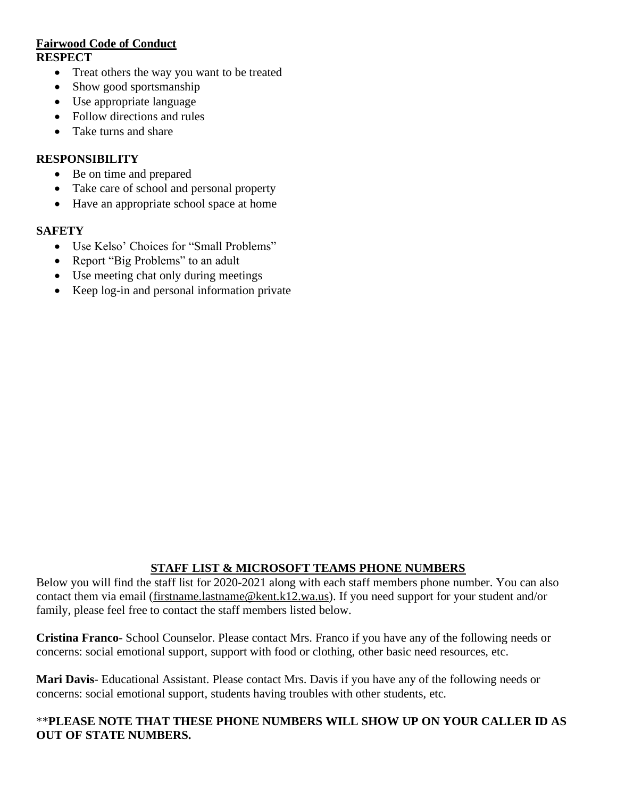### **Fairwood Code of Conduct RESPECT**

- Treat others the way you want to be treated
- Show good sportsmanship
- Use appropriate language
- Follow directions and rules
- Take turns and share

### **RESPONSIBILITY**

- Be on time and prepared
- Take care of school and personal property
- Have an appropriate school space at home

#### **SAFETY**

- Use Kelso' Choices for "Small Problems"
- Report "Big Problems" to an adult
- Use meeting chat only during meetings
- Keep log-in and personal information private

## **STAFF LIST & MICROSOFT TEAMS PHONE NUMBERS**

Below you will find the staff list for 2020-2021 along with each staff members phone number. You can also contact them via email [\(firstname.lastname@kent.k12.wa.us\)](mailto:firstname.lastname@kent.k12.wa.us). If you need support for your student and/or family, please feel free to contact the staff members listed below.

**Cristina Franco**- School Counselor. Please contact Mrs. Franco if you have any of the following needs or concerns: social emotional support, support with food or clothing, other basic need resources, etc.

**Mari Davis**- Educational Assistant. Please contact Mrs. Davis if you have any of the following needs or concerns: social emotional support, students having troubles with other students, etc.

### \*\***PLEASE NOTE THAT THESE PHONE NUMBERS WILL SHOW UP ON YOUR CALLER ID AS OUT OF STATE NUMBERS.**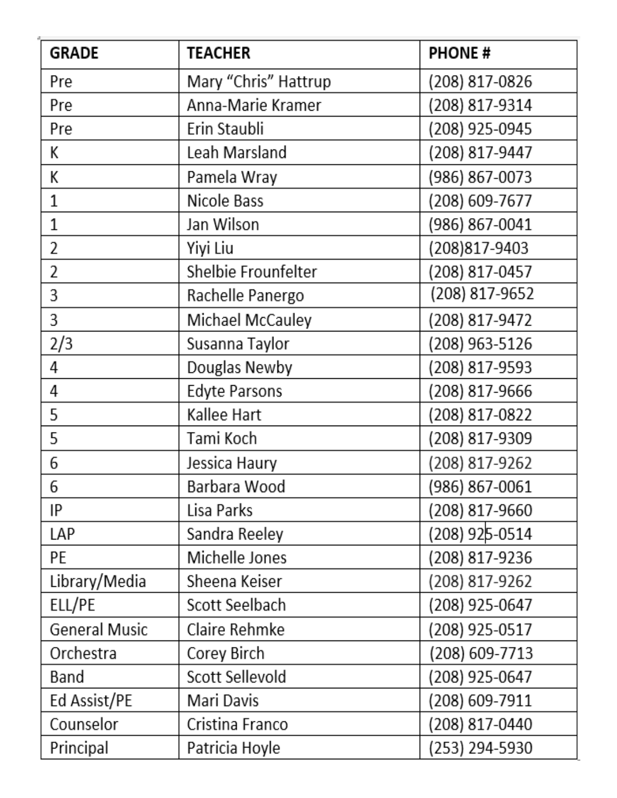| <b>GRADE</b>  | <b>TEACHER</b>       | <b>PHONE#</b>  |  |
|---------------|----------------------|----------------|--|
| Pre           | Mary "Chris" Hattrup | (208) 817-0826 |  |
| Pre           | Anna-Marie Kramer    | (208) 817-9314 |  |
| Pre           | Erin Staubli         | (208) 925-0945 |  |
| К             | Leah Marsland        | (208) 817-9447 |  |
| К             | Pamela Wray          | (986) 867-0073 |  |
| 1             | Nicole Bass          | (208) 609-7677 |  |
| 1             | Jan Wilson           | (986) 867-0041 |  |
| 2             | Yiyi Liu             | (208)817-9403  |  |
| 2             | Shelbie Frounfelter  | (208) 817-0457 |  |
| 3             | Rachelle Panergo     | (208) 817-9652 |  |
| 3             | Michael McCauley     | (208) 817-9472 |  |
| 2/3           | Susanna Taylor       | (208) 963-5126 |  |
| 4             | Douglas Newby        | (208) 817-9593 |  |
| 4             | <b>Edyte Parsons</b> | (208) 817-9666 |  |
| 5             | Kallee Hart          | (208) 817-0822 |  |
| 5             | Tami Koch            | (208) 817-9309 |  |
| 6             | Jessica Haury        | (208) 817-9262 |  |
| 6             | Barbara Wood         | (986) 867-0061 |  |
| IP            | Lisa Parks           | (208) 817-9660 |  |
| LAP           | Sandra Reeley        | (208) 925-0514 |  |
| PE            | Michelle Jones       | (208) 817-9236 |  |
| Library/Media | Sheena Keiser        | (208) 817-9262 |  |
| ELL/PE        | Scott Seelbach       | (208) 925-0647 |  |
| General Music | Claire Rehmke        | (208) 925-0517 |  |
| Orchestra     | Corey Birch          | (208) 609-7713 |  |
| Band          | Scott Sellevold      | (208) 925-0647 |  |
| Ed Assist/PE  | Mari Davis           | (208) 609-7911 |  |
| Counselor     | Cristina Franco      | (208) 817-0440 |  |
| Principal     | Patricia Hoyle       | (253) 294-5930 |  |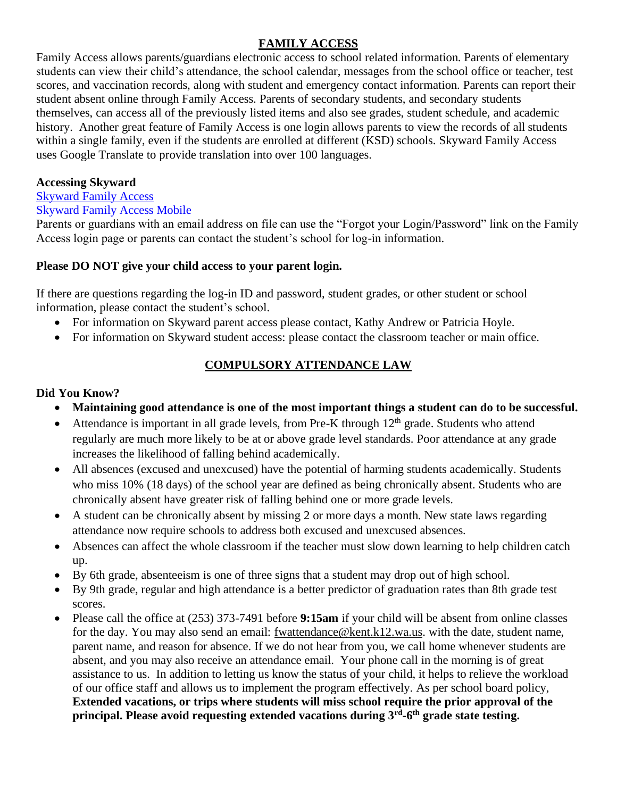## **FAMILY ACCESS**

Family Access allows parents/guardians electronic access to school related information. Parents of elementary students can view their child's attendance, the school calendar, messages from the school office or teacher, test scores, and vaccination records, along with student and emergency contact information. Parents can report their student absent online through Family Access. Parents of secondary students, and secondary students themselves, can access all of the previously listed items and also see grades, student schedule, and academic history. Another great feature of Family Access is one login allows parents to view the records of all students within a single family, even if the students are enrolled at different (KSD) schools. Skyward Family Access uses Google Translate to provide translation into over 100 languages.

### **Accessing Skyward**

## [Skyward Family Access](https://www2.kent.wa-k12.net/scripts/cgiip.exe/WService=wkents71/seplog01.w)

### Skyward Family Access Mobile

Parents or guardians with an email address on file can use the "Forgot your Login/Password" link on the Family Access login page or parents can contact the student's school for log-in information.

## **Please DO NOT give your child access to your parent login.**

If there are questions regarding the log-in ID and password, student grades, or other student or school information, please contact the student's school.

- For information on Skyward parent access please contact, Kathy Andrew or Patricia Hoyle.
- For information on Skyward student access: please contact the classroom teacher or main office.

## **COMPULSORY ATTENDANCE LAW**

## **Did You Know?**

- **Maintaining good attendance is one of the most important things a student can do to be successful.**
- Attendance is important in all grade levels, from Pre-K through  $12<sup>th</sup>$  grade. Students who attend regularly are much more likely to be at or above grade level standards. Poor attendance at any grade increases the likelihood of falling behind academically.
- All absences (excused and unexcused) have the potential of harming students academically. Students who miss 10% (18 days) of the school year are defined as being chronically absent. Students who are chronically absent have greater risk of falling behind one or more grade levels.
- A student can be chronically absent by missing 2 or more days a month. New state laws regarding attendance now require schools to address both excused and unexcused absences.
- Absences can affect the whole classroom if the teacher must slow down learning to help children catch up.
- By 6th grade, absenteeism is one of three signs that a student may drop out of high school.
- By 9th grade, regular and high attendance is a better predictor of graduation rates than 8th grade test scores.
- Please call the office at (253) 373-7491 before **9:15am** if your child will be absent from online classes for the day. You may also send an email: [fwattendance@kent.k12.wa.us.](mailto:fwattendance@kent.k12.wa.us) with the date, student name, parent name, and reason for absence. If we do not hear from you, we call home whenever students are absent, and you may also receive an attendance email. Your phone call in the morning is of great assistance to us. In addition to letting us know the status of your child, it helps to relieve the workload of our office staff and allows us to implement the program effectively. As per school board policy, **Extended vacations, or trips where students will miss school require the prior approval of the principal. Please avoid requesting extended vacations during 3rd -6 th grade state testing.**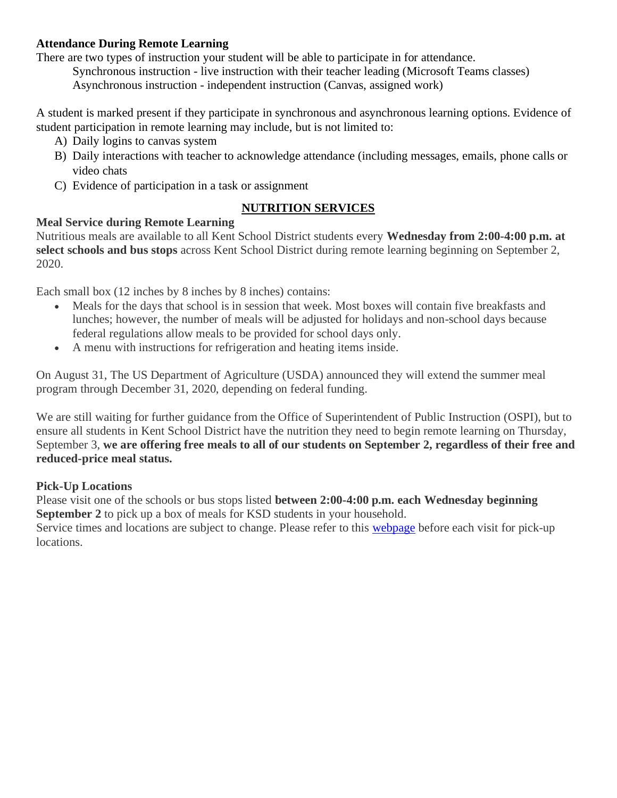## **Attendance During Remote Learning**

There are two types of instruction your student will be able to participate in for attendance.

Synchronous instruction - live instruction with their teacher leading (Microsoft Teams classes) Asynchronous instruction - independent instruction (Canvas, assigned work)

A student is marked present if they participate in synchronous and asynchronous learning options. Evidence of student participation in remote learning may include, but is not limited to:

- A) Daily logins to canvas system
- B) Daily interactions with teacher to acknowledge attendance (including messages, emails, phone calls or video chats
- C) Evidence of participation in a task or assignment

## **NUTRITION SERVICES**

## **Meal Service during Remote Learning**

Nutritious meals are available to all Kent School District students every **Wednesday from 2:00-4:00 p.m. at select schools and bus stops** across Kent School District during remote learning beginning on September 2, 2020.

Each small box (12 inches by 8 inches by 8 inches) contains:

- Meals for the days that school is in session that week. Most boxes will contain five breakfasts and lunches; however, the number of meals will be adjusted for holidays and non-school days because federal regulations allow meals to be provided for school days only.
- A menu with instructions for refrigeration and heating items inside.

On August 31, The US Department of Agriculture (USDA) announced they will extend the summer meal program through December 31, 2020, depending on federal funding.

We are still waiting for further guidance from the Office of Superintendent of Public Instruction (OSPI), but to ensure all students in Kent School District have the nutrition they need to begin remote learning on Thursday, September 3, **we are offering free meals to all of our students on September 2, regardless of their free and reduced-price meal status.**

### **Pick-Up Locations**

Please visit one of the schools or bus stops listed **between 2:00-4:00 p.m. each Wednesday beginning September 2** to pick up a box of meals for KSD students in your household.

Service times and locations are subject to change. Please refer to this [webpage](https://www.kent.k12.wa.us/Page/12420) before each visit for pick-up locations.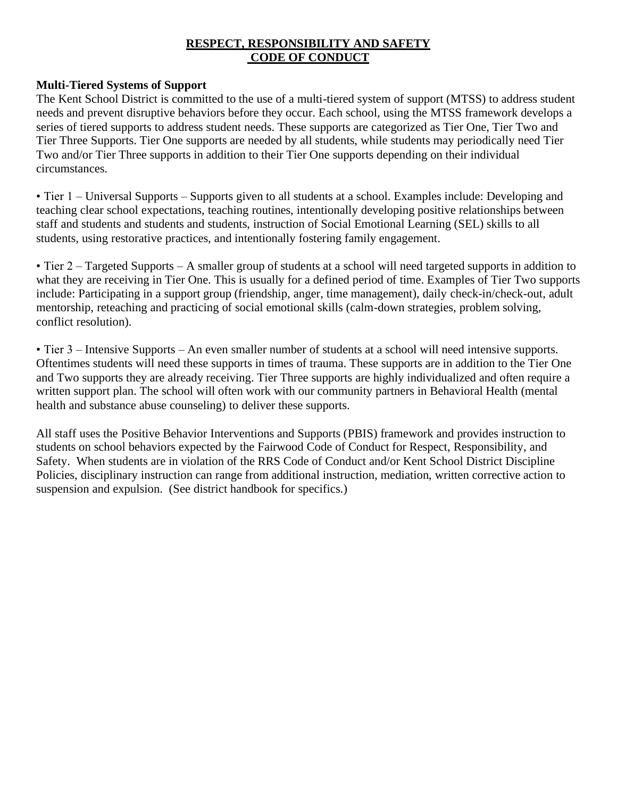### **RESPECT, RESPONSIBILITY AND SAFETY CODE OF CONDUCT**

### **Multi-Tiered Systems of Support**

The Kent School District is committed to the use of a multi-tiered system of support (MTSS) to address student needs and prevent disruptive behaviors before they occur. Each school, using the MTSS framework develops a series of tiered supports to address student needs. These supports are categorized as Tier One, Tier Two and Tier Three Supports. Tier One supports are needed by all students, while students may periodically need Tier Two and/or Tier Three supports in addition to their Tier One supports depending on their individual circumstances.

• Tier 1 – Universal Supports – Supports given to all students at a school. Examples include: Developing and teaching clear school expectations, teaching routines, intentionally developing positive relationships between staff and students and students and students, instruction of Social Emotional Learning (SEL) skills to all students, using restorative practices, and intentionally fostering family engagement.

• Tier 2 – Targeted Supports – A smaller group of students at a school will need targeted supports in addition to what they are receiving in Tier One. This is usually for a defined period of time. Examples of Tier Two supports include: Participating in a support group (friendship, anger, time management), daily check-in/check-out, adult mentorship, reteaching and practicing of social emotional skills (calm-down strategies, problem solving, conflict resolution).

• Tier 3 – Intensive Supports – An even smaller number of students at a school will need intensive supports. Oftentimes students will need these supports in times of trauma. These supports are in addition to the Tier One and Two supports they are already receiving. Tier Three supports are highly individualized and often require a written support plan. The school will often work with our community partners in Behavioral Health (mental health and substance abuse counseling) to deliver these supports.

All staff uses the Positive Behavior Interventions and Supports (PBIS) framework and provides instruction to students on school behaviors expected by the Fairwood Code of Conduct for Respect, Responsibility, and Safety. When students are in violation of the RRS Code of Conduct and/or Kent School District Discipline Policies, disciplinary instruction can range from additional instruction, mediation, written corrective action to suspension and expulsion. (See district handbook for specifics.)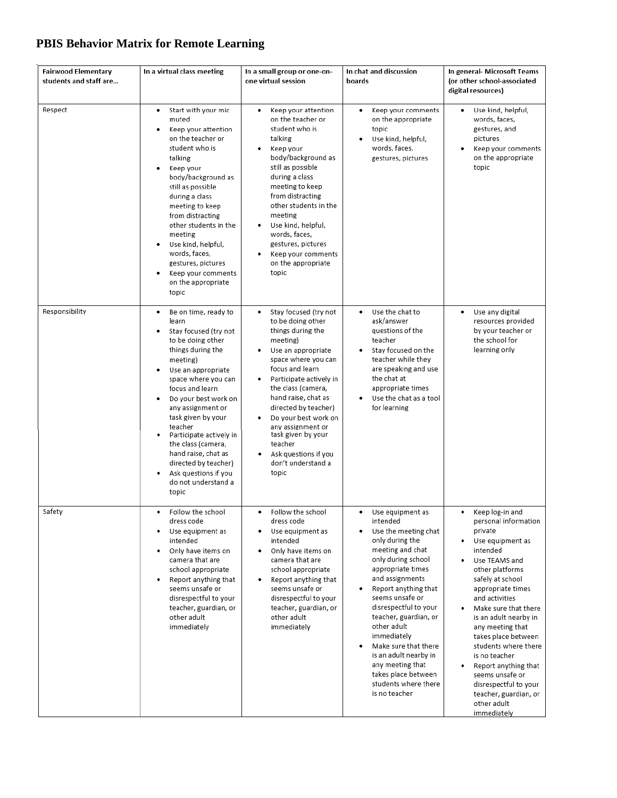# **PBIS Behavior Matrix for Remote Learning**

| <b>Fairwood Elementary</b><br>students and staff are | In a virtual class meeting                                                                                                                                                                                                                                                                                                                                                                                                        | In a small group or one-on-<br>one virtual session                                                                                                                                                                                                                                                                                                                                         | In chat and discussion<br>boards                                                                                                                                                                                                                                                                                                                                                                                               | In general- Microsoft Teams<br>(or other school-associated<br>digital resources)                                                                                                                                                                                                                                                                                                                                                                                 |
|------------------------------------------------------|-----------------------------------------------------------------------------------------------------------------------------------------------------------------------------------------------------------------------------------------------------------------------------------------------------------------------------------------------------------------------------------------------------------------------------------|--------------------------------------------------------------------------------------------------------------------------------------------------------------------------------------------------------------------------------------------------------------------------------------------------------------------------------------------------------------------------------------------|--------------------------------------------------------------------------------------------------------------------------------------------------------------------------------------------------------------------------------------------------------------------------------------------------------------------------------------------------------------------------------------------------------------------------------|------------------------------------------------------------------------------------------------------------------------------------------------------------------------------------------------------------------------------------------------------------------------------------------------------------------------------------------------------------------------------------------------------------------------------------------------------------------|
| Respect                                              | Start with your mic<br>٠<br>muted<br>Keep your attention<br>on the teacher or<br>student who is<br>talking<br>Keep your<br>body/background as<br>still as possible<br>during a class<br>meeting to keep<br>from distracting<br>other students in the<br>meeting<br>Use kind, helpful,<br>words, faces,<br>gestures, pictures<br>Keep your comments<br>on the appropriate<br>topic                                                 | Keep your attention<br>on the teacher or<br>student who is<br>talking<br>Keep your<br>body/background as<br>still as possible<br>during a class<br>meeting to keep<br>from distracting<br>other students in the<br>meeting<br>Use kind, helpful,<br>words, faces,<br>gestures, pictures<br>Keep your comments<br>on the appropriate<br>topic                                               | Keep your comments<br>٠<br>on the appropriate<br>topic<br>Use kind, helpful,<br>words, faces,<br>gestures, pictures                                                                                                                                                                                                                                                                                                            | Use kind, helpful,<br>words, faces,<br>gestures, and<br>pictures<br>Keep your comments<br>on the appropriate<br>topic                                                                                                                                                                                                                                                                                                                                            |
| Responsibility                                       | Be on time, ready to<br>٠<br>learn<br>Stay focused (try not<br>to be doing other<br>things during the<br>meeting)<br>Use an appropriate<br>٠<br>space where you can<br>focus and learn<br>Do your best work on<br>٠<br>any assignment or<br>task given by your<br>teacher<br>Participate actively in<br>the class (camera,<br>hand raise, chat as<br>directed by teacher)<br>Ask questions if you<br>do not understand a<br>topic | Stay focused (try not<br>to be doing other<br>things during the<br>meeting)<br>Use an appropriate<br>٠<br>space where you can<br>focus and learn<br>Participate actively in<br>٠<br>the class (camera,<br>hand raise, chat as<br>directed by teacher)<br>Do your best work on<br>any assignment or<br>task given by your<br>teacher<br>Ask questions if you<br>don't understand a<br>topic | Use the chat to<br>٠<br>ask/answer<br>questions of the<br>teacher<br>Stay focused on the<br>٠<br>teacher while they<br>are speaking and use<br>the chat at<br>appropriate times<br>Use the chat as a tool<br>for learning                                                                                                                                                                                                      | Use any digital<br>٠<br>resources provided<br>by your teacher or<br>the school for<br>learning only                                                                                                                                                                                                                                                                                                                                                              |
| Safety                                               | Follow the school<br>dress code<br>Use equipment as<br>intended<br>Only have items on<br>camera that are<br>school appropriate<br>Report anything that<br>٠<br>seems unsafe or<br>disrespectful to your<br>teacher, guardian, or<br>other adult<br>immediately                                                                                                                                                                    | Follow the school<br>dress code<br>Use equipment as<br>intended<br>Only have items on<br>camera that are<br>school appropriate<br>Report anything that<br>٠<br>seems unsafe or<br>disrespectful to your<br>teacher, guardian, or<br>other adult<br>immediately                                                                                                                             | Use equipment as<br>٠<br>intended<br>Use the meeting chat<br>only during the<br>meeting and chat<br>only during school<br>appropriate times<br>and assignments<br>Report anything that<br>seems unsafe or<br>disrespectful to your<br>teacher, guardian, or<br>other adult<br>immediately<br>Make sure that there<br>is an adult nearby in<br>any meeting that<br>takes place between<br>students where there<br>is no teacher | Keep log-in and<br>٠<br>personal information<br>private<br>Use equipment as<br>intended<br>Use TEAMS and<br>٠<br>other platforms<br>safely at school<br>appropriate times<br>and activities<br>Make sure that there<br>٠<br>is an adult nearby in<br>any meeting that<br>takes place between<br>students where there<br>is no teacher<br>Report anything that<br>seems unsafe or<br>disrespectful to your<br>teacher, guardian, or<br>other adult<br>immediately |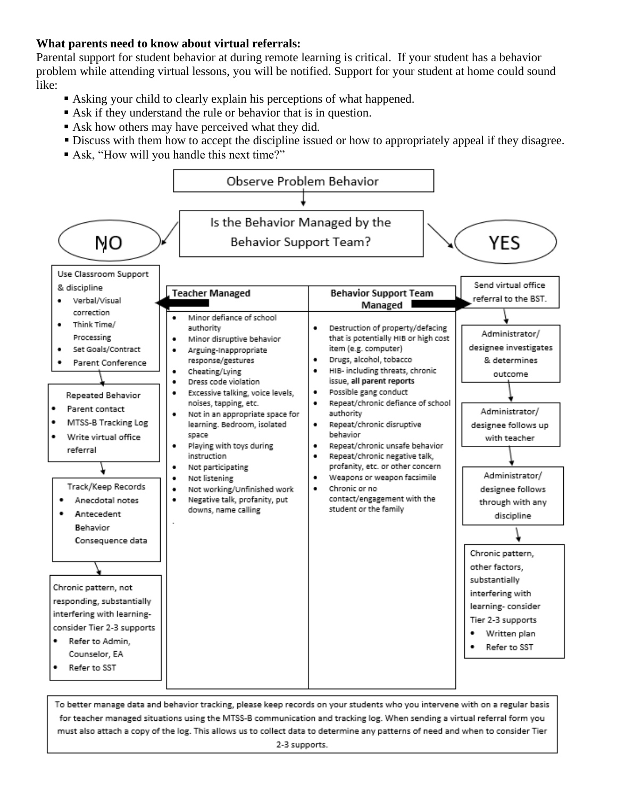## **What parents need to know about virtual referrals:**

Parental support for student behavior at during remote learning is critical. If your student has a behavior problem while attending virtual lessons, you will be notified. Support for your student at home could sound like:

- Asking your child to clearly explain his perceptions of what happened.
- Ask if they understand the rule or behavior that is in question.
- Ask how others may have perceived what they did.
- **Discuss with them how to accept the discipline issued or how to appropriately appeal if they disagree.**
- Ask, "How will you handle this next time?"



To better manage data and behavior tracking, please keep records on your students who you intervene with on a regular basis for teacher managed situations using the MTSS-B communication and tracking log. When sending a virtual referral form you must also attach a copy of the log. This allows us to collect data to determine any patterns of need and when to consider Tier 2-3 supports.